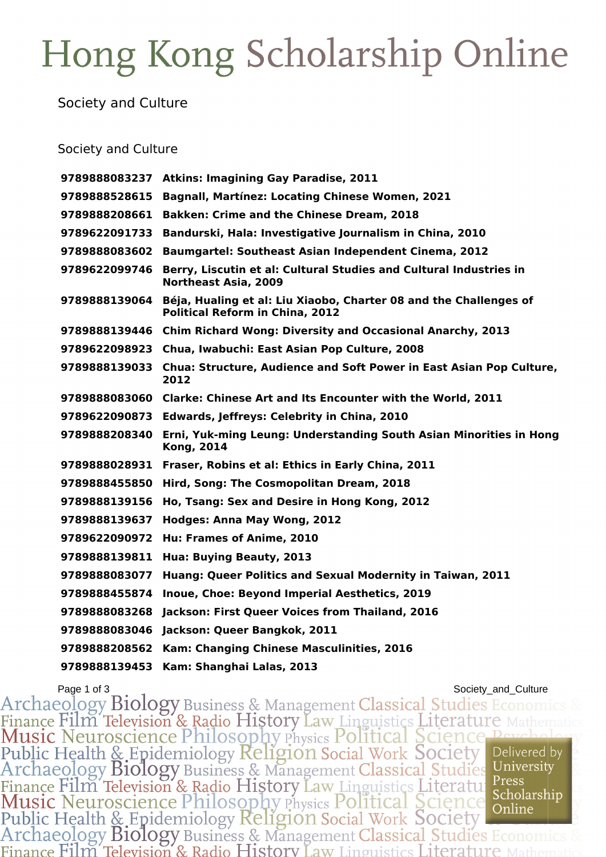# Hong Kong Scholarship Online

### Society and Culture

### Society and Culture

| 9789888083237 | <b>Atkins: Imagining Gay Paradise, 2011</b>                                                                 |
|---------------|-------------------------------------------------------------------------------------------------------------|
| 9789888528615 | <b>Bagnall, Martínez: Locating Chinese Women, 2021</b>                                                      |
| 9789888208661 | <b>Bakken: Crime and the Chinese Dream, 2018</b>                                                            |
| 9789622091733 | Bandurski, Hala: Investigative Journalism in China, 2010                                                    |
| 9789888083602 | <b>Baumgartel: Southeast Asian Independent Cinema, 2012</b>                                                 |
| 9789622099746 | Berry, Liscutin et al: Cultural Studies and Cultural Industries in<br><b>Northeast Asia, 2009</b>           |
| 9789888139064 | Béja, Hualing et al: Liu Xiaobo, Charter 08 and the Challenges of<br><b>Political Reform in China, 2012</b> |
|               | 9789888139446 Chim Richard Wong: Diversity and Occasional Anarchy, 2013                                     |
| 9789622098923 | Chua, Iwabuchi: East Asian Pop Culture, 2008                                                                |
| 9789888139033 | <b>Chua: Structure, Audience and Soft Power in East Asian Pop Culture,</b><br>2012                          |
|               | 9789888083060 Clarke: Chinese Art and Its Encounter with the World, 2011                                    |
| 9789622090873 | <b>Edwards, Jeffreys: Celebrity in China, 2010</b>                                                          |
| 9789888208340 | Erni, Yuk-ming Leung: Understanding South Asian Minorities in Hong<br><b>Kong, 2014</b>                     |
| 9789888028931 | Fraser, Robins et al: Ethics in Early China, 2011                                                           |
| 9789888455850 | Hird, Song: The Cosmopolitan Dream, 2018                                                                    |
| 9789888139156 | Ho, Tsang: Sex and Desire in Hong Kong, 2012                                                                |
| 9789888139637 | <b>Hodges: Anna May Wong, 2012</b>                                                                          |
| 9789622090972 | Hu: Frames of Anime, 2010                                                                                   |
| 9789888139811 | Hua: Buying Beauty, 2013                                                                                    |
| 9789888083077 | Huang: Queer Politics and Sexual Modernity in Taiwan, 2011                                                  |
| 9789888455874 | Inoue, Choe: Beyond Imperial Aesthetics, 2019                                                               |
| 9789888083268 | Jackson: First Queer Voices from Thailand, 2016                                                             |
| 9789888083046 | Jackson: Queer Bangkok, 2011                                                                                |
| 9789888208562 | Kam: Changing Chinese Masculinities, 2016                                                                   |
| 9789888139453 | Kam: Shanghai Lalas, 2013                                                                                   |

Page 1 of 3<br>Archaeology Biology Business & Management Classical Studies Economics & Finance Film Television & Radio History Law Linguistics Literature Mathema<br>Music Neuroscience Philosophy Physics Political Science Peycholo<br>Public Health & Epidemiology Religion Social Work Society Delivered by<br>Archaeology Finance Film Television & Radio History Law Linguistics Literatu Press<br>Music Neuroscience Philosophy Physics Political Science Scholarship<br>Public Health & Epidemiology Religion Social Work Society<br>Archaeology Biology Busin Scholarship Finance Film Television & Radio History Law Linguistics Literature M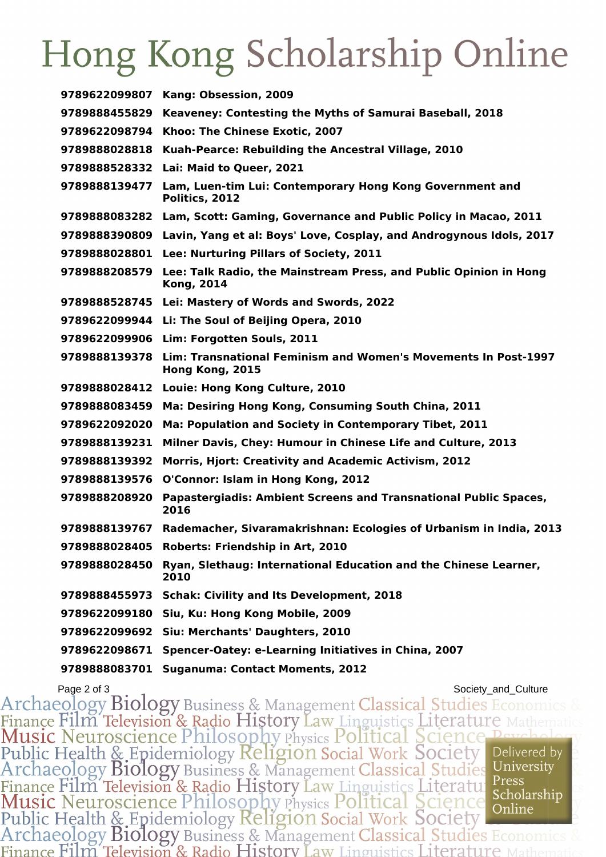## Hong Kong Scholarship Online

| 9789622099807 | Kang: Obsession, 2009                                                                                |
|---------------|------------------------------------------------------------------------------------------------------|
| 9789888455829 | Keaveney: Contesting the Myths of Samurai Baseball, 2018                                             |
| 9789622098794 | Khoo: The Chinese Exotic, 2007                                                                       |
| 9789888028818 | Kuah-Pearce: Rebuilding the Ancestral Village, 2010                                                  |
|               | 9789888528332 Lai: Maid to Queer, 2021                                                               |
| 9789888139477 | Lam, Luen-tim Lui: Contemporary Hong Kong Government and<br>Politics, 2012                           |
|               | 9789888083282 Lam, Scott: Gaming, Governance and Public Policy in Macao, 2011                        |
| 9789888390809 | Lavin, Yang et al: Boys' Love, Cosplay, and Androgynous Idols, 2017                                  |
|               | 9789888028801 Lee: Nurturing Pillars of Society, 2011                                                |
|               | 9789888208579 Lee: Talk Radio, the Mainstream Press, and Public Opinion in Hong<br><b>Kong, 2014</b> |
|               | 9789888528745 Lei: Mastery of Words and Swords, 2022                                                 |
|               | 9789622099944 Li: The Soul of Beijing Opera, 2010                                                    |
|               | 9789622099906 Lim: Forgotten Souls, 2011                                                             |
|               | 9789888139378 Lim: Transnational Feminism and Women's Movements In Post-1997<br>Hong Kong, 2015      |
| 9789888028412 | Louie: Hong Kong Culture, 2010                                                                       |
| 9789888083459 | Ma: Desiring Hong Kong, Consuming South China, 2011                                                  |
| 9789622092020 | Ma: Population and Society in Contemporary Tibet, 2011                                               |
| 9789888139231 | Milner Davis, Chey: Humour in Chinese Life and Culture, 2013                                         |
| 9789888139392 | <b>Morris, Hjort: Creativity and Academic Activism, 2012</b>                                         |
| 9789888139576 | O'Connor: Islam in Hong Kong, 2012                                                                   |
| 9789888208920 | Papastergiadis: Ambient Screens and Transnational Public Spaces,<br>2016                             |
| 9789888139767 | Rademacher, Sivaramakrishnan: Ecologies of Urbanism in India, 2013                                   |
| 9789888028405 | Roberts: Friendship in Art, 2010                                                                     |
| 9789888028450 | Ryan, Slethaug: International Education and the Chinese Learner,<br>2010                             |
| 9789888455973 | <b>Schak: Civility and Its Development, 2018</b>                                                     |
| 9789622099180 | Siu, Ku: Hong Kong Mobile, 2009                                                                      |
| 9789622099692 | Siu: Merchants' Daughters, 2010                                                                      |
| 9789622098671 | Spencer-Oatey: e-Learning Initiatives in China, 2007                                                 |
| 9789888083701 | <b>Suganuma: Contact Moments, 2012</b>                                                               |

Page 2 of 3<br>Archaeology Biology Business & Management Classical Studies Economics & Finance Film Television & Radio History Law Linguistics Literature Mathemat<br>Music Neuroscience Philosophy Physics Political Science Psychology<br>Public Health & Epidemiology Religion Social Work Society<br>Archaeology Biology B Finance Film Television & Radio History Law Linguistics Literature Press<br>
Music Neuroscience Philosophy Physics Political Science Scholarship<br>
Public Health & Epidemiology Religion Social Work Society<br>
Archaeology Biology Scholarship Finance Film Television & Radio History Law Linguistics Literature N